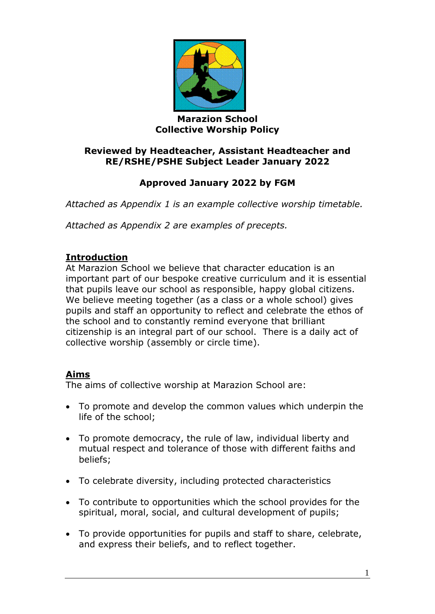

#### **Marazion School Collective Worship Policy**

### **Reviewed by Headteacher, Assistant Headteacher and RE/RSHE/PSHE Subject Leader January 2022**

# **Approved January 2022 by FGM**

*Attached as Appendix 1 is an example collective worship timetable.*

*Attached as Appendix 2 are examples of precepts.*

### **Introduction**

At Marazion School we believe that character education is an important part of our bespoke creative curriculum and it is essential that pupils leave our school as responsible, happy global citizens. We believe meeting together (as a class or a whole school) gives pupils and staff an opportunity to reflect and celebrate the ethos of the school and to constantly remind everyone that brilliant citizenship is an integral part of our school. There is a daily act of collective worship (assembly or circle time).

### **Aims**

The aims of collective worship at Marazion School are:

- To promote and develop the common values which underpin the life of the school;
- To promote democracy, the rule of law, individual liberty and mutual respect and tolerance of those with different faiths and beliefs;
- To celebrate diversity, including protected characteristics
- To contribute to opportunities which the school provides for the spiritual, moral, social, and cultural development of pupils;
- To provide opportunities for pupils and staff to share, celebrate, and express their beliefs, and to reflect together.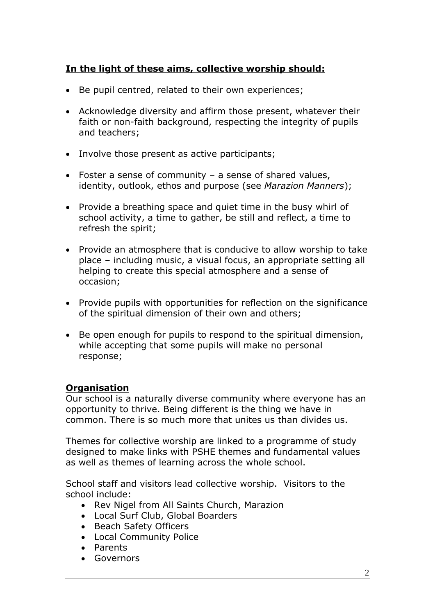## **In the light of these aims, collective worship should:**

- Be pupil centred, related to their own experiences;
- Acknowledge diversity and affirm those present, whatever their faith or non-faith background, respecting the integrity of pupils and teachers;
- Involve those present as active participants;
- Foster a sense of community a sense of shared values, identity, outlook, ethos and purpose (see *Marazion Manners*);
- Provide a breathing space and quiet time in the busy whirl of school activity, a time to gather, be still and reflect, a time to refresh the spirit;
- Provide an atmosphere that is conducive to allow worship to take place – including music, a visual focus, an appropriate setting all helping to create this special atmosphere and a sense of occasion;
- Provide pupils with opportunities for reflection on the significance of the spiritual dimension of their own and others;
- Be open enough for pupils to respond to the spiritual dimension, while accepting that some pupils will make no personal response;

### **Organisation**

Our school is a naturally diverse community where everyone has an opportunity to thrive. Being different is the thing we have in common. There is so much more that unites us than divides us.

Themes for collective worship are linked to a programme of study designed to make links with PSHE themes and fundamental values as well as themes of learning across the whole school.

School staff and visitors lead collective worship. Visitors to the school include:

- Rev Nigel from All Saints Church, Marazion
- Local Surf Club, Global Boarders
- Beach Safety Officers
- Local Community Police
- Parents
- Governors